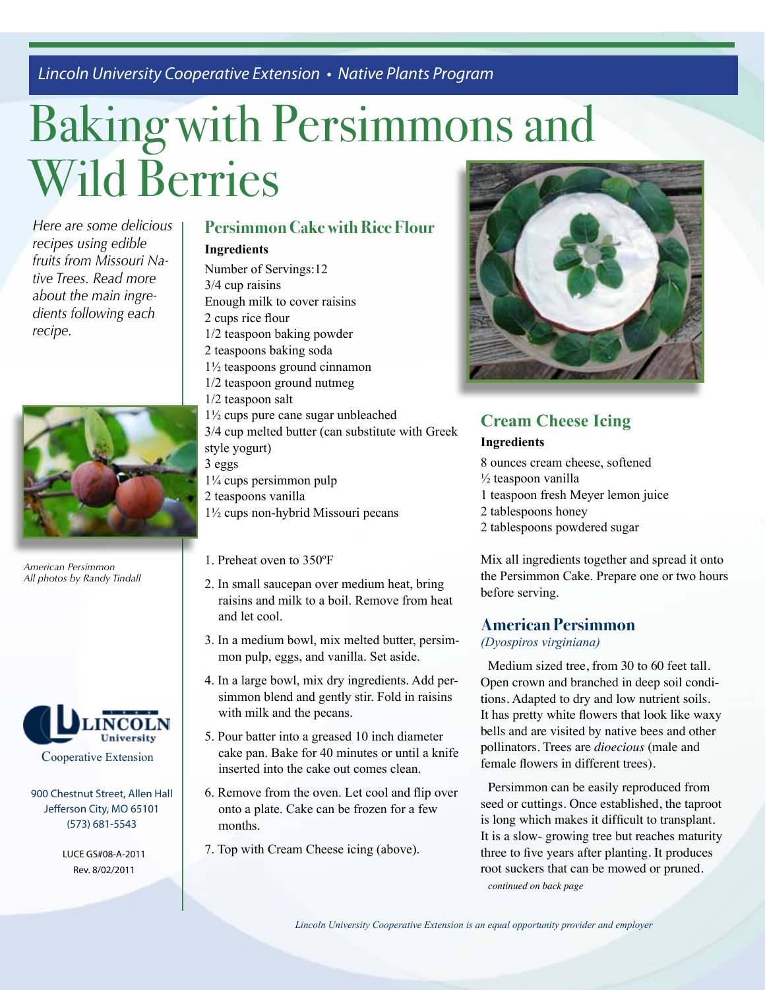*Lincoln University Cooperative Extension • Native Plants Program*

# Baking with Persimmons and Wild Berries

*Here are some delicious recipes using edible fruits from Missouri Native Trees. Read more about the main ingredients following each recipe.*



*American Persimmon All photos by Randy Tindall*



900 Chestnut Street, Allen Hall Jefferson City, MO 65101 (573) 681-5543

> LUCE GS#08-A-2011 Rev. 8/02/2011

#### **Persimmon Cake with Rice Flour Ingredients**

Number of Servings:12 3/4 cup raisins Enough milk to cover raisins 2 cups rice flour 1/2 teaspoon baking powder 2 teaspoons baking soda 1½ teaspoons ground cinnamon 1/2 teaspoon ground nutmeg 1/2 teaspoon salt 1½ cups pure cane sugar unbleached 3/4 cup melted butter (can substitute with Greek style yogurt) 3 eggs

1¼ cups persimmon pulp 2 teaspoons vanilla

- 1½ cups non-hybrid Missouri pecans
- 1. Preheat oven to 350ºF
- 2. In small saucepan over medium heat, bring raisins and milk to a boil. Remove from heat and let cool.
- 3. In a medium bowl, mix melted butter, persimmon pulp, eggs, and vanilla. Set aside.
- 4. In a large bowl, mix dry ingredients. Add persimmon blend and gently stir. Fold in raisins with milk and the pecans.
- 5. Pour batter into a greased 10 inch diameter cake pan. Bake for 40 minutes or until a knife inserted into the cake out comes clean.
- 6. Remove from the oven. Let cool and flip over onto a plate. Cake can be frozen for a few months.
- 7. Top with Cream Cheese icing (above).



# **Cream Cheese Icing**

#### **Ingredients**

8 ounces cream cheese, softened  $\frac{1}{2}$  teaspoon vanilla 1 teaspoon fresh Meyer lemon juice 2 tablespoons honey 2 tablespoons powdered sugar

Mix all ingredients together and spread it onto the Persimmon Cake. Prepare one or two hours before serving.

#### **American Persimmon**

*(Dyospiros virginiana)* 

Medium sized tree, from 30 to 60 feet tall. Open crown and branched in deep soil conditions. Adapted to dry and low nutrient soils. It has pretty white flowers that look like waxy bells and are visited by native bees and other pollinators. Trees are *dioecious* (male and female flowers in different trees).

Persimmon can be easily reproduced from seed or cuttings. Once established, the taproot is long which makes it difficult to transplant. It is a slow- growing tree but reaches maturity three to five years after planting. It produces root suckers that can be mowed or pruned.

*continued on back page*